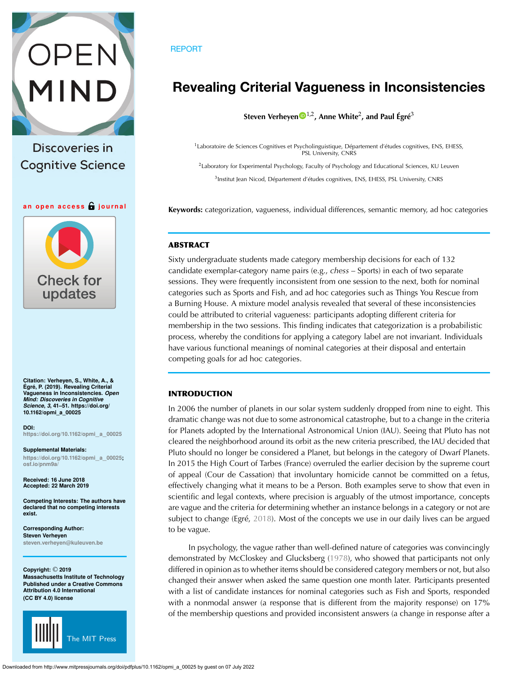

Discoveries in **Cognitive Science** 

### **an open access journal**



**Citation: Verheyen, S., White, A., & Égré, P. (2019). Revealing Criterial Vagueness in Inconsistencies.** *Open Mind: Discoveries in Cognitive Science***,** *3***, 41–51. https://doi.org/ 10.1162/opmi\_a\_00025**

**DOI: [https://doi.org/10.1162/opmi](https://doi.org/10.1162/opmi_a_00025)**\_**a**\_**<sup>00025</sup>**

**Supplemental Materials: [https://doi.org/10.1162/opmi](https://doi.org/10.1162/opmi_a_00025)**\_**a**\_**00025; [osf.io/pnm9a/](https://osf.io/pnm9a/)**

**Received: 16 June 2018 Accepted: 22 March 2019**

**Competing Interests: The authors have declared that no competing interests exist.**

**Corresponding Author: Steven Verheyen [steven.verheyen@kuleuven.be](mailto:steven.verheyen@kuleuven.be)**

**Copyright:** © **2019 Massachusetts Institute of Technology Published under a Creative Commons Attribution 4.0 International (CC BY 4.0) license**



# REPORT

# **Revealing Criterial Vagueness in Inconsistencies**

**Steven Verheye[n](https://orcid.org/0000-0002-6778-6744)** 1,2**, Anne White**2**, and Paul Égré**<sup>3</sup>

<sup>1</sup>Laboratoire de Sciences Cognitives et Psycholinguistique, Département d'études cognitives, ENS, EHESS, PSL University, CNRS

<sup>2</sup>Laboratory for Experimental Psychology, Faculty of Psychology and Educational Sciences, KU Leuven <sup>3</sup>Institut Jean Nicod, Département d'études cognitives, ENS, EHESS, PSL University, CNRS

**Keywords:** categorization, vagueness, individual differences, semantic memory, ad hoc categories

# **ABSTRACT**

Sixty undergraduate students made category membership decisions for each of 132 candidate exemplar-category name pairs (e.g., *chess* – Sports) in each of two separate sessions. They were frequently inconsistent from one session to the next, both for nominal categories such as Sports and Fish, and ad hoc categories such as Things You Rescue from a Burning House. A mixture model analysis revealed that several of these inconsistencies could be attributed to criterial vagueness: participants adopting different criteria for membership in the two sessions. This finding indicates that categorization is a probabilistic process, whereby the conditions for applying a category label are not invariant. Individuals have various functional meanings of nominal categories at their disposal and entertain competing goals for ad hoc categories.

# **INTRODUCTION**

In 2006 the number of planets in our solar system suddenly dropped from nine to eight. This dramatic change was not due to some astronomical catastrophe, but to a change in the criteria for Planets adopted by the International Astronomical Union (IAU). Seeing that Pluto has not cleared the neighborhood around its orbit as the new criteria prescribed, the IAU decided that Pluto should no longer be considered a Planet, but belongs in the category of Dwarf Planets. In 2015 the High Court of Tarbes (France) overruled the earlier decision by the supreme court of appeal (Cour de Cassation) that involuntary homicide cannot be committed on a fetus, effectively changing what it means to be a Person. Both examples serve to show that even in scientific and legal contexts, where precision is arguably of the utmost importance, concepts are vague and the criteria for determining whether an instance belongs in a category or not are subject to change (Egré, [2018](#page-9-0)). Most of the concepts we use in our daily lives can be argued to be vague.

In psychology, the vague rather than well-defined nature of categories was convincingly demonstrated by McCloskey and Glucksberg [\(1978\)](#page-10-0), who showed that participants not only differed in opinion as to whether items should be considered category members or not, but also changed their answer when asked the same question one month later. Participants presented with a list of candidate instances for nominal categories such as Fish and Sports, responded with a nonmodal answer (a response that is different from the majority response) on 17% of the membership questions and provided inconsistent answers (a change in response after a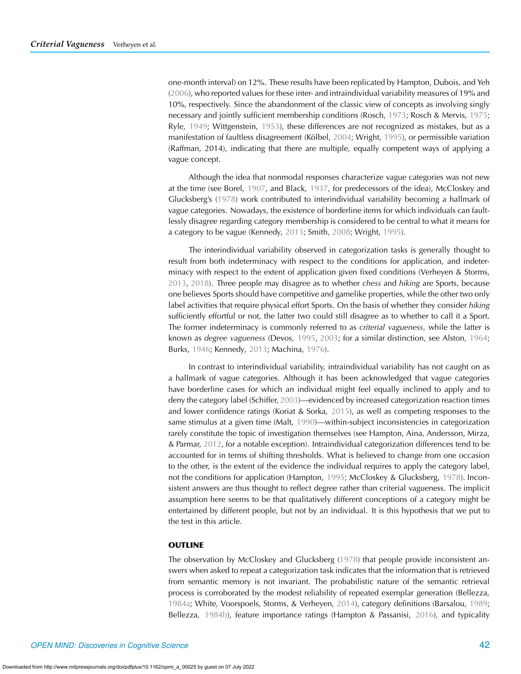one-month interval) on 12%. These results have been replicated by Hampton, Dubois, and Yeh [\(2006\)](#page-9-1), who reported values for these inter- and intraindividual variability measures of 19% and 10%, respectively. Since the abandonment of the classic view of concepts as involving singly necessary and jointly sufficient membership conditions (Rosch, [1973;](#page-10-1) Rosch & Mervis, [1975](#page-10-2); Ryle, [1949;](#page-10-3) Wittgenstein, [1953\)](#page-10-4), these differences are not recognized as mistakes, but as a manifestation of faultless disagreement (Kölbel, [2004;](#page-9-2) Wright, [1995\)](#page-10-5), or permissible variation (Raffman, 2014), indicating that there are multiple, equally competent ways of applying a vague concept.

Although the idea that nonmodal responses characterize vague categories was not new at the time (see Borel, [1907](#page-9-3), and Black, [1937,](#page-9-4) for predecessors of the idea), McCloskey and Glucksberg's [\(1978\)](#page-10-0) work contributed to interindividual variability becoming a hallmark of vague categories. Nowadays, the existence of borderline items for which individuals can faultlessly disagree regarding category membership is considered to be central to what it means for a category to be vague (Kennedy, [2013;](#page-9-5) Smith, [2008;](#page-10-6) Wright, [1995\)](#page-10-5).

The interindividual variability observed in categorization tasks is generally thought to result from both indeterminacy with respect to the conditions for application, and indeterminacy with respect to the extent of application given fixed conditions (Verheyen & Storms, [2013](#page-10-7), [2018\)](#page-10-8). Three people may disagree as to whether *chess* and *hiking* are Sports, because one believes Sports should have competitive and gamelike properties, while the other two only label activities that require physical effort Sports. On the basis of whether they consider *hiking* sufficiently effortful or not, the latter two could still disagree as to whether to call it a Sport. The former indeterminacy is commonly referred to as *criterial vagueness*, while the latter is known as *degree vagueness* (Devos, [1995,](#page-9-6) [2003;](#page-9-7) for a similar distinction, see Alston, [1964](#page-9-8); Burks, [1946](#page-9-9); Kennedy, [2013](#page-9-5); Machina, [1976\)](#page-10-9).

In contrast to interindividual variability, intraindividual variability has not caught on as a hallmark of vague categories. Although it has been acknowledged that vague categories have borderline cases for which an individual might feel equally inclined to apply and to deny the category label (Schiffer, [2003\)](#page-10-10)—evidenced by increased categorization reaction times and lower confidence ratings (Koriat & Sorka, [2015\)](#page-9-10), as well as competing responses to the same stimulus at a given time (Malt, [1990\)](#page-10-11)—within-subject inconsistencies in categorization rarely constitute the topic of investigation themselves (see Hampton, Aina, Andersson, Mirza, & Parmar, [2012,](#page-9-11) for a notable exception). Intraindividual categorization differences tend to be accounted for in terms of shifting thresholds. What is believed to change from one occasion to the other, is the extent of the evidence the individual requires to apply the category label, not the conditions for application (Hampton, [1995](#page-9-12); McCloskey & Glucksberg, [1978\)](#page-10-0). Inconsistent answers are thus thought to reflect degree rather than criterial vagueness. The implicit assumption here seems to be that qualitatively different conceptions of a category might be entertained by different people, but not by an individual. It is this hypothesis that we put to the test in this article.

## **OUTLINE**

The observation by McCloskey and Glucksberg [\(1978](#page-10-0)) that people provide inconsistent answers when asked to repeat a categorization task indicates that the information that is retrieved from semantic memory is not invariant. The probabilistic nature of the semantic retrieval process is corroborated by the modest reliability of repeated exemplar generation (Bellezza, [1984a;](#page-9-13) White, Voorspoels, Storms, & Verheyen, [2014](#page-10-12)), category definitions (Barsalou, [1989](#page-9-14); Bellezza, [1984b](#page-9-15)), feature importance ratings (Hampton & Passanisi, [2016\)](#page-9-16), and typicality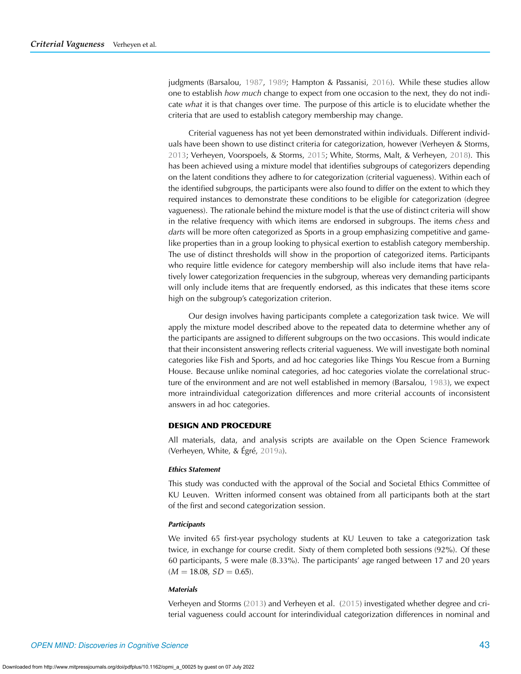judgments (Barsalou, [1987](#page-9-17), [1989;](#page-9-14) Hampton & Passanisi, [2016\)](#page-9-16). While these studies allow one to establish *how much* change to expect from one occasion to the next, they do not indicate *what* it is that changes over time. The purpose of this article is to elucidate whether the criteria that are used to establish category membership may change.

Criterial vagueness has not yet been demonstrated within individuals. Different individuals have been shown to use distinct criteria for categorization, however (Verheyen & Storms, [2013;](#page-10-7) Verheyen, Voorspoels, & Storms, [2015;](#page-10-13) White, Storms, Malt, & Verheyen, [2018](#page-10-14)). This has been achieved using a mixture model that identifies subgroups of categorizers depending on the latent conditions they adhere to for categorization (criterial vagueness). Within each of the identified subgroups, the participants were also found to differ on the extent to which they required instances to demonstrate these conditions to be eligible for categorization (degree vagueness). The rationale behind the mixture model is that the use of distinct criteria will show in the relative frequency with which items are endorsed in subgroups. The items *chess* and *darts* will be more often categorized as Sports in a group emphasizing competitive and gamelike properties than in a group looking to physical exertion to establish category membership. The use of distinct thresholds will show in the proportion of categorized items. Participants who require little evidence for category membership will also include items that have relatively lower categorization frequencies in the subgroup, whereas very demanding participants will only include items that are frequently endorsed, as this indicates that these items score high on the subgroup's categorization criterion.

Our design involves having participants complete a categorization task twice. We will apply the mixture model described above to the repeated data to determine whether any of the participants are assigned to different subgroups on the two occasions. This would indicate that their inconsistent answering reflects criterial vagueness. We will investigate both nominal categories like Fish and Sports, and ad hoc categories like Things You Rescue from a Burning House. Because unlike nominal categories, ad hoc categories violate the correlational structure of the environment and are not well established in memory (Barsalou, [1983](#page-9-18)), we expect more intraindividual categorization differences and more criterial accounts of inconsistent answers in ad hoc categories.

# **DESIGN AND PROCEDURE**

All materials, data, and analysis scripts are available on the Open Science Framework (Verheyen, White, & Égré, [2019a](#page-10-15)).

## *Ethics Statement*

This study was conducted with the approval of the Social and Societal Ethics Committee of KU Leuven. Written informed consent was obtained from all participants both at the start of the first and second categorization session.

## *Participants*

We invited 65 first-year psychology students at KU Leuven to take a categorization task twice, in exchange for course credit. Sixty of them completed both sessions (92%). Of these 60 participants, 5 were male (8.33%). The participants' age ranged between 17 and 20 years  $(M = 18.08, SD = 0.65).$ 

## *Materials*

Verheyen and Storms [\(2013](#page-10-7)) and Verheyen et al. [\(2015\)](#page-10-13) investigated whether degree and criterial vagueness could account for interindividual categorization differences in nominal and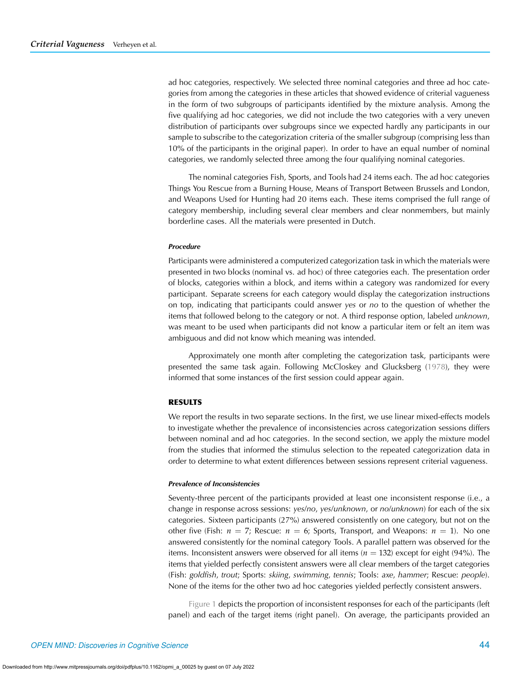ad hoc categories, respectively. We selected three nominal categories and three ad hoc categories from among the categories in these articles that showed evidence of criterial vagueness in the form of two subgroups of participants identified by the mixture analysis. Among the five qualifying ad hoc categories, we did not include the two categories with a very uneven distribution of participants over subgroups since we expected hardly any participants in our sample to subscribe to the categorization criteria of the smaller subgroup (comprising less than 10% of the participants in the original paper). In order to have an equal number of nominal categories, we randomly selected three among the four qualifying nominal categories.

The nominal categories Fish, Sports, and Tools had 24 items each. The ad hoc categories Things You Rescue from a Burning House, Means of Transport Between Brussels and London, and Weapons Used for Hunting had 20 items each. These items comprised the full range of category membership, including several clear members and clear nonmembers, but mainly borderline cases. All the materials were presented in Dutch.

#### *Procedure*

Participants were administered a computerized categorization task in which the materials were presented in two blocks (nominal vs. ad hoc) of three categories each. The presentation order of blocks, categories within a block, and items within a category was randomized for every participant. Separate screens for each category would display the categorization instructions on top, indicating that participants could answer *yes* or *no* to the question of whether the items that followed belong to the category or not. A third response option, labeled *unknown*, was meant to be used when participants did not know a particular item or felt an item was ambiguous and did not know which meaning was intended.

Approximately one month after completing the categorization task, participants were presented the same task again. Following McCloskey and Glucksberg [\(1978\)](#page-10-0), they were informed that some instances of the first session could appear again.

# **RESULTS**

We report the results in two separate sections. In the first, we use linear mixed-effects models to investigate whether the prevalence of inconsistencies across categorization sessions differs between nominal and ad hoc categories. In the second section, we apply the mixture model from the studies that informed the stimulus selection to the repeated categorization data in order to determine to what extent differences between sessions represent criterial vagueness.

#### *Prevalence of Inconsistencies*

Seventy-three percent of the participants provided at least one inconsistent response (i.e., a change in response across sessions: *yes*/*no*, *yes*/*unknown*, or *no*/*unknown*) for each of the six categories. Sixteen participants (27%) answered consistently on one category, but not on the other five (Fish:  $n = 7$ ; Rescue:  $n = 6$ ; Sports, Transport, and Weapons:  $n = 1$ ). No one answered consistently for the nominal category Tools. A parallel pattern was observed for the items. Inconsistent answers were observed for all items  $(n = 132)$  except for eight (94%). The items that yielded perfectly consistent answers were all clear members of the target categories (Fish: *goldfish*, *trout*; Sports: *skiing*, *swimming*, *tennis*; Tools: *axe*, *hammer*; Rescue: *people*). None of the items for the other two ad hoc categories yielded perfectly consistent answers.

[Figure 1](#page-4-0) depicts the proportion of inconsistent responses for each of the participants (left panel) and each of the target items (right panel). On average, the participants provided an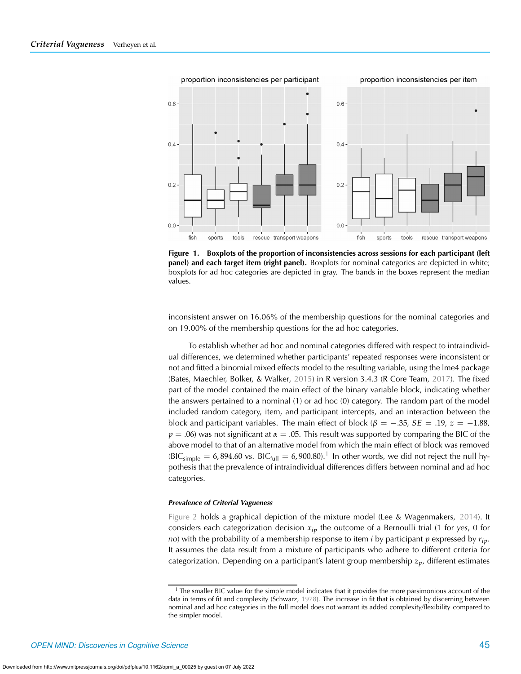

<span id="page-4-0"></span>**Figure 1. Boxplots of the proportion of inconsistencies across sessions for each participant (left panel) and each target item (right panel).** Boxplots for nominal categories are depicted in white; boxplots for ad hoc categories are depicted in gray. The bands in the boxes represent the median values.

inconsistent answer on 16.06% of the membership questions for the nominal categories and on 19.00% of the membership questions for the ad hoc categories.

To establish whether ad hoc and nominal categories differed with respect to intraindividual differences, we determined whether participants' repeated responses were inconsistent or not and fitted a binomial mixed effects model to the resulting variable, using the lme4 package (Bates, Maechler, Bolker, & Walker, [2015](#page-9-19)) in R version 3.4.3 (R Core Team, [2017\)](#page-10-16). The fixed part of the model contained the main effect of the binary variable block, indicating whether the answers pertained to a nominal (1) or ad hoc (0) category. The random part of the model included random category, item, and participant intercepts, and an interaction between the block and participant variables. The main effect of block ( $\beta = -.35$ ,  $SE = .19$ ,  $z = -1.88$ ,  $p = .06$ ) was not significant at  $\alpha = .05$ . This result was supported by comparing the BIC of the above model to that of an alternative model from which the main effect of block was removed  $(BIC<sub>simple</sub> = 6,894.60 \text{ vs. } BIC<sub>full</sub> = 6,900.80).$ <sup>[1](#page-4-1)</sup> In other words, we did not reject the null hypothesis that the prevalence of intraindividual differences differs between nominal and ad hoc categories.

#### *Prevalence of Criterial Vagueness*

[Figure 2](#page-5-0) holds a graphical depiction of the mixture model (Lee & Wagenmakers, [2014\)](#page-10-17). It considers each categorization decision *xip* the outcome of a Bernoulli trial (1 for *yes*, 0 for *no*) with the probability of a membership response to item *<sup>i</sup>* by participant *<sup>p</sup>* expressed by *rip*. It assumes the data result from a mixture of participants who adhere to different criteria for categorization. Depending on a participant's latent group membership *zp*, different estimates

<span id="page-4-1"></span> $<sup>1</sup>$  The smaller BIC value for the simple model indicates that it provides the more parsimonious account of the</sup> data in terms of fit and complexity (Schwarz, [1978](#page-10-18)). The increase in fit that is obtained by discerning between nominal and ad hoc categories in the full model does not warrant its added complexity/flexibility compared to the simpler model.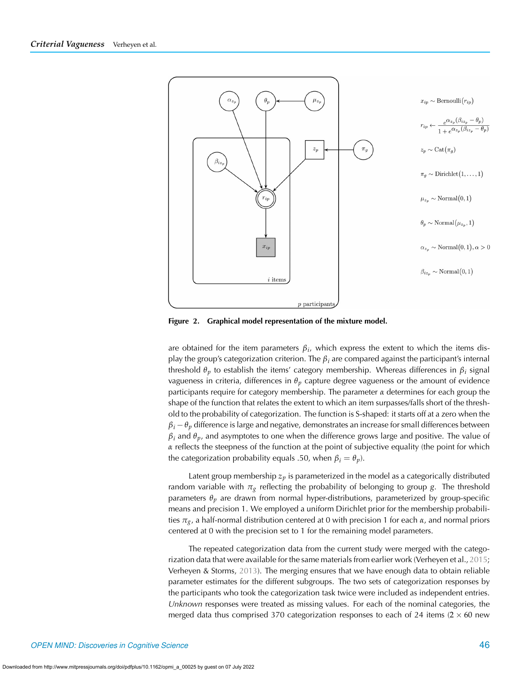

<span id="page-5-0"></span>**Figure 2. Graphical model representation of the mixture model.**

are obtained for the item parameters  $\beta_i$ , which express the extent to which the items display the group's categorization criterion. The *<sup>β</sup>i* are compared against the participant's internal threshold *<sup>θ</sup><sup>p</sup>* to establish the items' category membership. Whereas differences in *<sup>β</sup>i* signal vagueness in criteria, differences in *<sup>θ</sup>p* capture degree vagueness or the amount of evidence participants require for category membership. The parameter  $\alpha$  determines for each group the shape of the function that relates the extent to which an item surpasses/falls short of the threshold to the probability of categorization. The function is S-shaped: it starts off at a zero when the  $\beta$ <sup>*i*</sup>  $-\theta$ <sup>*p*</sup> difference is large and negative, demonstrates an increase for small differences between  $\beta$ *i* and  $\theta$ <sup>*p*</sup>, and asymptotes to one when the difference grows large and positive. The value of *α* reflects the steepness of the function at the point of subjective equality (the point for which the categorization probability equals .50, when  $\beta_i = \theta_p$ ).

Latent group membership  $z_p$  is parameterized in the model as a categorically distributed random variable with *<sup>π</sup>g* reflecting the probability of belonging to group *<sup>g</sup>*. The threshold parameters *<sup>θ</sup>p* are drawn from normal hyper-distributions, parameterized by group-specific means and precision 1. We employed a uniform Dirichlet prior for the membership probabilities *<sup>π</sup>g*, a half-normal distribution centered at 0 with precision 1 for each *<sup>α</sup>*, and normal priors centered at 0 with the precision set to 1 for the remaining model parameters.

The repeated categorization data from the current study were merged with the categorization data that were available for the same materials from earlier work (Verheyen et al., [2015](#page-10-13); Verheyen & Storms, [2013\)](#page-10-7). The merging ensures that we have enough data to obtain reliable parameter estimates for the different subgroups. The two sets of categorization responses by the participants who took the categorization task twice were included as independent entries. *Unknown* responses were treated as missing values. For each of the nominal categories, the merged data thus comprised 370 categorization responses to each of 24 items (2 *×* 60 new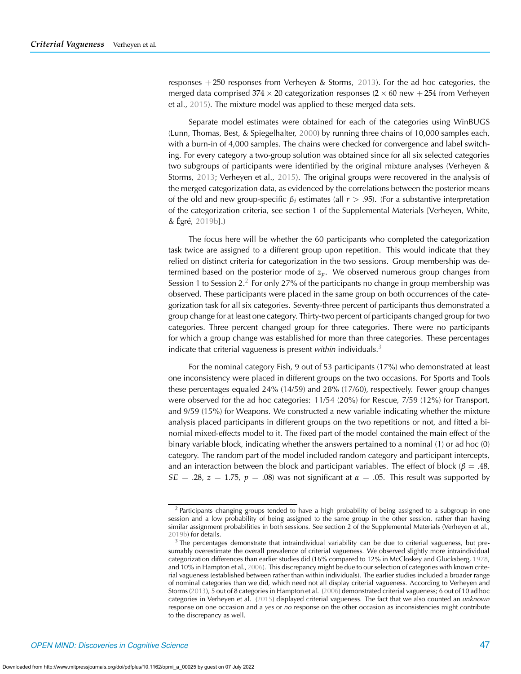responses + 250 responses from Verheyen & Storms, [2013\)](#page-10-7). For the ad hoc categories, the merged data comprised 374 *×* 20 categorization responses (2 *×* 60 new + 254 from Verheyen et al., [2015](#page-10-13)). The mixture model was applied to these merged data sets.

Separate model estimates were obtained for each of the categories using WinBUGS (Lunn, Thomas, Best, & Spiegelhalter, [2000](#page-10-19)) by running three chains of 10,000 samples each, with a burn-in of 4,000 samples. The chains were checked for convergence and label switching. For every category a two-group solution was obtained since for all six selected categories two subgroups of participants were identified by the original mixture analyses (Verheyen & Storms, [2013;](#page-10-7) Verheyen et al., [2015\)](#page-10-13). The original groups were recovered in the analysis of the merged categorization data, as evidenced by the correlations between the posterior means of the old and new group-specific *<sup>β</sup>i* estimates (all *<sup>r</sup> <sup>&</sup>gt;* .95). (For a substantive interpretation of the categorization criteria, see section 1 of the Supplemental Materials [Verheyen, White, & Égré, [2019b\]](#page-10-20).)

The focus here will be whether the 60 participants who completed the categorization task twice are assigned to a different group upon repetition. This would indicate that they relied on distinct criteria for categorization in the two sessions. Group membership was determined based on the posterior mode of *zp*. We observed numerous group changes from Session 1 to Session [2](#page-6-0).<sup>2</sup> For only 27% of the participants no change in group membership was observed. These participants were placed in the same group on both occurrences of the categorization task for all six categories. Seventy-three percent of participants thus demonstrated a group change for at least one category. Thirty-two percent of participants changed group for two categories. Three percent changed group for three categories. There were no participants for which a group change was established for more than three categories. These percentages indicate that criterial vagueness is present *within* individuals.[3](#page-6-1)

For the nominal category Fish, 9 out of 53 participants (17%) who demonstrated at least one inconsistency were placed in different groups on the two occasions. For Sports and Tools these percentages equaled 24% (14/59) and 28% (17/60), respectively. Fewer group changes were observed for the ad hoc categories: 11/54 (20%) for Rescue, 7/59 (12%) for Transport, and 9/59 (15%) for Weapons. We constructed a new variable indicating whether the mixture analysis placed participants in different groups on the two repetitions or not, and fitted a binomial mixed-effects model to it. The fixed part of the model contained the main effect of the binary variable block, indicating whether the answers pertained to a nominal (1) or ad hoc (0) category. The random part of the model included random category and participant intercepts, and an interaction between the block and participant variables. The effect of block ( $\beta = .48$ , *SE* = .28, *z* = 1.75,  $p = .08$ ) was not significant at  $\alpha = .05$ . This result was supported by

<span id="page-6-0"></span> $2$  Participants changing groups tended to have a high probability of being assigned to a subgroup in one session and a low probability of being assigned to the same group in the other session, rather than having similar assignment probabilities in both sessions. See section 2 of the Supplemental Materials (Verheyen et al., [2019b](#page-10-20)) for details.

<span id="page-6-1"></span><sup>&</sup>lt;sup>3</sup> The percentages demonstrate that intraindividual variability can be due to criterial vagueness, but presumably overestimate the overall prevalence of criterial vagueness. We observed slightly more intraindividual categorization differences than earlier studies did (16% compared to 12% in McCloskey and Glucksberg, [1978,](#page-10-0) and 10% in Hampton et al.,[2006\)](#page-9-1). This discrepancy might be due to our selection of categories with known criterial vagueness (established between rather than within individuals). The earlier studies included a broader range of nominal categories than we did, which need not all display criterial vagueness. According to Verheyen and Storms [\(2013](#page-10-7)), 5 out of 8 categories in Hampton et al. [\(2006](#page-9-1)) demonstrated criterial vagueness; 6 out of 10 ad hoc categories in Verheyen et al. [\(2015](#page-10-13)) displayed criterial vagueness. The fact that we also counted an *unknown* response on one occasion and a *yes* or *no* response on the other occasion as inconsistencies might contribute to the discrepancy as well.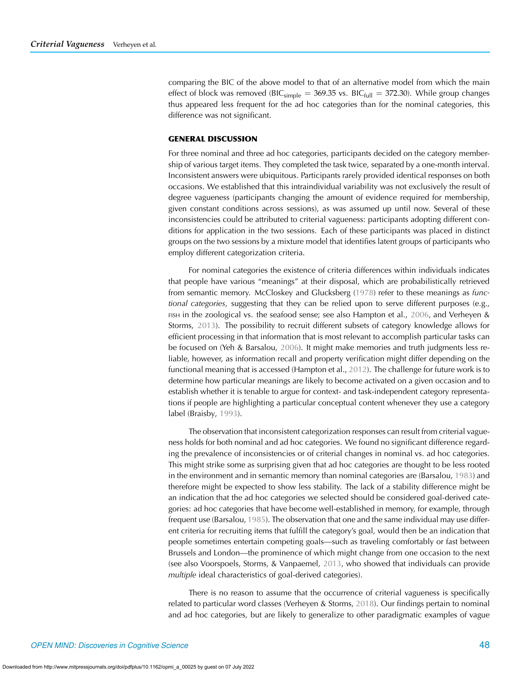comparing the BIC of the above model to that of an alternative model from which the main effect of block was removed (BIC<sub>simple</sub> = 369.35 vs. BIC<sub>full</sub> = 372.30). While group changes thus appeared less frequent for the ad hoc categories than for the nominal categories, this difference was not significant.

## **GENERAL DISCUSSION**

For three nominal and three ad hoc categories, participants decided on the category membership of various target items. They completed the task twice, separated by a one-month interval. Inconsistent answers were ubiquitous. Participants rarely provided identical responses on both occasions. We established that this intraindividual variability was not exclusively the result of degree vagueness (participants changing the amount of evidence required for membership, given constant conditions across sessions), as was assumed up until now. Several of these inconsistencies could be attributed to criterial vagueness: participants adopting different conditions for application in the two sessions. Each of these participants was placed in distinct groups on the two sessions by a mixture model that identifies latent groups of participants who employ different categorization criteria.

For nominal categories the existence of criteria differences within individuals indicates that people have various "meanings" at their disposal, which are probabilistically retrieved from semantic memory. McCloskey and Glucksberg [\(1978](#page-10-0)) refer to these meanings as *functional categories*, suggesting that they can be relied upon to serve different purposes (e.g.,  $FISH$  in the zoological vs. the seafood sense; see also Hampton et al., [2006,](#page-9-1) and Verheyen & Storms, [2013](#page-10-7)). The possibility to recruit different subsets of category knowledge allows for efficient processing in that information that is most relevant to accomplish particular tasks can be focused on (Yeh & Barsalou, [2006\)](#page-10-21). It might make memories and truth judgments less reliable, however, as information recall and property verification might differ depending on the functional meaning that is accessed (Hampton et al., [2012](#page-9-11)). The challenge for future work is to determine how particular meanings are likely to become activated on a given occasion and to establish whether it is tenable to argue for context- and task-independent category representations if people are highlighting a particular conceptual content whenever they use a category label (Braisby, [1993](#page-9-20)).

The observation that inconsistent categorization responses can result from criterial vagueness holds for both nominal and ad hoc categories. We found no significant difference regarding the prevalence of inconsistencies or of criterial changes in nominal vs. ad hoc categories. This might strike some as surprising given that ad hoc categories are thought to be less rooted in the environment and in semantic memory than nominal categories are (Barsalou, [1983\)](#page-9-18) and therefore might be expected to show less stability. The lack of a stability difference might be an indication that the ad hoc categories we selected should be considered goal-derived categories: ad hoc categories that have become well-established in memory, for example, through frequent use (Barsalou, [1985](#page-9-21)). The observation that one and the same individual may use different criteria for recruiting items that fulfill the category's goal, would then be an indication that people sometimes entertain competing goals—such as traveling comfortably or fast between Brussels and London—the prominence of which might change from one occasion to the next (see also Voorspoels, Storms, & Vanpaemel, [2013](#page-10-22), who showed that individuals can provide *multiple* ideal characteristics of goal-derived categories).

There is no reason to assume that the occurrence of criterial vagueness is specifically related to particular word classes (Verheyen & Storms, [2018\)](#page-10-8). Our findings pertain to nominal and ad hoc categories, but are likely to generalize to other paradigmatic examples of vague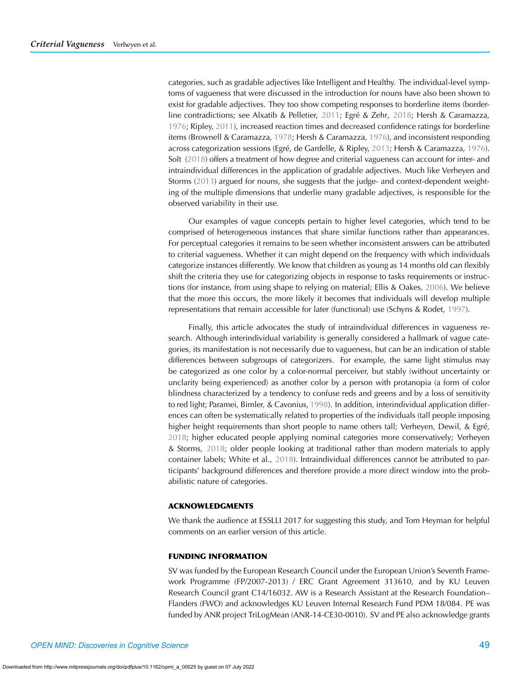categories, such as gradable adjectives like Intelligent and Healthy. The individual-level symptoms of vagueness that were discussed in the introduction for nouns have also been shown to exist for gradable adjectives. They too show competing responses to borderline items (borderline contradictions; see Alxatib & Pelletier, [2011](#page-9-22); Egré & Zehr, [2018;](#page-9-23) Hersh & Caramazza, [1976;](#page-9-24) Ripley, [2011\)](#page-10-23), increased reaction times and decreased confidence ratings for borderline items (Brownell & Caramazza, [1978](#page-9-25); Hersh & Caramazza, [1976](#page-9-24)), and inconsistent responding across categorization sessions (Egré, de Gardelle, & Ripley, [2013](#page-9-26); Hersh & Caramazza, [1976\)](#page-9-24). Solt [\(2018](#page-10-24)) offers a treatment of how degree and criterial vagueness can account for inter- and intraindividual differences in the application of gradable adjectives. Much like Verheyen and Storms [\(2013\)](#page-10-7) argued for nouns, she suggests that the judge- and context-dependent weighting of the multiple dimensions that underlie many gradable adjectives, is responsible for the observed variability in their use.

Our examples of vague concepts pertain to higher level categories, which tend to be comprised of heterogeneous instances that share similar functions rather than appearances. For perceptual categories it remains to be seen whether inconsistent answers can be attributed to criterial vagueness. Whether it can might depend on the frequency with which individuals categorize instances differently. We know that children as young as 14 months old can flexibly shift the criteria they use for categorizing objects in response to tasks requirements or instructions (for instance, from using shape to relying on material; Ellis & Oakes, [2006\)](#page-9-27). We believe that the more this occurs, the more likely it becomes that individuals will develop multiple representations that remain accessible for later (functional) use (Schyns & Rodet, [1997](#page-10-25)).

Finally, this article advocates the study of intraindividual differences in vagueness research. Although interindividual variability is generally considered a hallmark of vague categories, its manifestation is not necessarily due to vagueness, but can be an indication of stable differences between subgroups of categorizers. For example, the same light stimulus may be categorized as one color by a color-normal perceiver, but stably (without uncertainty or unclarity being experienced) as another color by a person with protanopia (a form of color blindness characterized by a tendency to confuse reds and greens and by a loss of sensitivity to red light; Paramei, Bimler, & Cavonius, [1998\)](#page-10-26). In addition, interindividual application differences can often be systematically related to properties of the individuals (tall people imposing higher height requirements than short people to name others tall; Verheyen, Dewil, & Egré, [2018;](#page-10-27) higher educated people applying nominal categories more conservatively; Verheyen & Storms, [2018](#page-10-8); older people looking at traditional rather than modern materials to apply container labels; White et al., [2018\)](#page-10-14). Intraindividual differences cannot be attributed to participants' background differences and therefore provide a more direct window into the probabilistic nature of categories.

# **ACKNOWLEDGMENTS**

We thank the audience at ESSLLI 2017 for suggesting this study, and Tom Heyman for helpful comments on an earlier version of this article.

## **FUNDING INFORMATION**

SV was funded by the European Research Council under the European Union's Seventh Framework Programme (FP/2007-2013) / ERC Grant Agreement 313610, and by KU Leuven Research Council grant C14/16032. AW is a Research Assistant at the Research Foundation– Flanders (FWO) and acknowledges KU Leuven Internal Research Fund PDM 18/084. PE was funded by ANR project TriLogMean (ANR-14-CE30-0010). SV and PE also acknowledge grants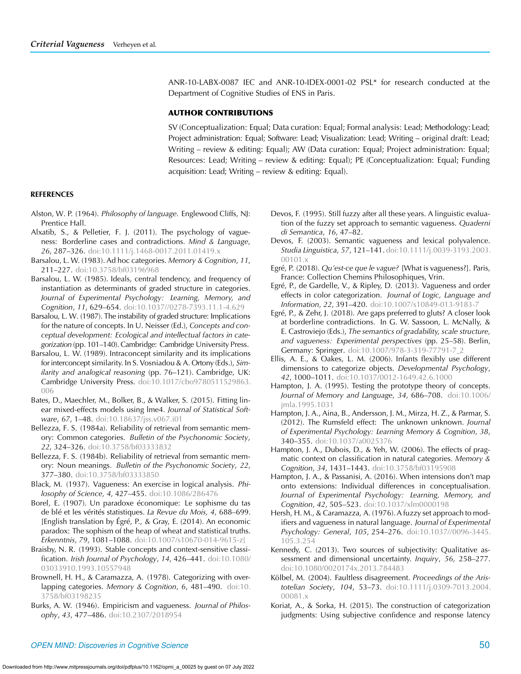ANR-10-LABX-0087 IEC and ANR-10-IDEX-0001-02 PSL\* for research conducted at the Department of Cognitive Studies of ENS in Paris.

# **AUTHOR CONTRIBUTIONS**

SV (Conceptualization: Equal; Data curation: Equal; Formal analysis: Lead; Methodology: Lead; Project administration: Equal; Software: Lead; Visualization: Lead; Writing – original draft: Lead; Writing – review & editing: Equal); AW (Data curation: Equal; Project administration: Equal; Resources: Lead; Writing – review & editing: Equal); PE (Conceptualization: Equal; Funding acquisition: Lead; Writing – review & editing: Equal).

#### **REFERENCES**

- <span id="page-9-8"></span>Alston, W. P. (1964). *Philosophy of language*. Englewood Cliffs, NJ: Prentice Hall.
- <span id="page-9-22"></span>Alxatib, S., & Pelletier, F. J. (2011). The psychology of vagueness: Borderline cases and contradictions. *Mind & Language*, *26*, 287–326. [doi:10.1111/j.1468-0017.2011.01419.x](https://doi.org/10.1111/j.1468-0017.2011.01419.x)
- <span id="page-9-18"></span>Barsalou, L. W. (1983). Ad hoc categories. *Memory & Cognition*, *11*, 211–227. [doi:10.3758/bf03196968](https://doi.org/10.3758/bf03196968)
- <span id="page-9-21"></span>Barsalou, L. W. (1985). Ideals, central tendency, and frequency of instantiation as determinants of graded structure in categories. *Journal of Experimental Psychology: Learning, Memory, and Cognition*, *11*, 629–654. [doi:10.1037//0278-7393.11.1-4.629](https://doi.org/10.1037//0278-7393.11.1-4.629)
- <span id="page-9-17"></span>Barsalou, L. W. (1987). The instability of graded structure: Implications for the nature of concepts. In U. Neisser (Ed.), *Concepts and conceptual development: Ecological and intellectual factors in categorization* (pp. 101–140). Cambridge: Cambridge University Press.
- <span id="page-9-14"></span>Barsalou, L. W. (1989). Intraconcept similarity and its implications for interconcept similarity. In S. Vosniadou & A. Ortony (Eds.), *Similarity and analogical reasoning* (pp. 76–121). Cambridge, UK: Cambridge University Press. [doi:10.1017/cbo9780511529863.](https://doi.org/10.1017/cbo9780511529863.006) [006](https://doi.org/10.1017/cbo9780511529863.006)
- <span id="page-9-19"></span>Bates, D., Maechler, M., Bolker, B., & Walker, S. (2015). Fitting linear mixed-effects models using lme4. *Journal of Statistical Software*, *67*, 1–48. [doi:10.18637/jss.v067.i01](https://doi.org/10.18637/jss.v067.i01)
- <span id="page-9-13"></span>Bellezza, F. S. (1984a). Reliability of retrieval from semantic memory: Common categories. *Bulletin of the Psychonomic Society*, *22*, 324–326. [doi:10.3758/bf03333832](https://doi.org/10.3758/bf03333832)
- <span id="page-9-15"></span>Bellezza, F. S. (1984b). Reliability of retrieval from semantic memory: Noun meanings. *Bulletin of the Psychonomic Society*, *22*, 377–380. [doi:10.3758/bf03333850](https://doi.org/10.3758/bf03333850)
- <span id="page-9-4"></span>Black, M. (1937). Vagueness: An exercise in logical analysis. *Philosophy of Science*, *4*, 427–455. [doi:10.1086/286476](https://doi.org/10.1086/286476)
- <span id="page-9-3"></span>Borel, E. (1907). Un paradoxe économique: Le sophisme du tas de blé et les vérités statistiques. *La Revue du Mois, 4*, 688–699. [English translation by Égré, P., & Gray, E. (2014). An economic paradox: The sophism of the heap of wheat and statistical truths. *Erkenntnis*, *79*, 1081–1088. [doi:10.1007/s10670-014-9615-z\]](https://doi.org/10.1007/s10670-014-9615-z])
- <span id="page-9-20"></span>Braisby, N. R. (1993). Stable concepts and context-sensitive classification. *Irish Journal of Psychology*, *14*, 426–441. [doi:10.1080/](https://doi.org/10.1080/03033910.1993.10557948) [03033910.1993.10557948](https://doi.org/10.1080/03033910.1993.10557948)
- <span id="page-9-25"></span>Brownell, H. H., & Caramazza, A. (1978). Categorizing with overlapping categories. *Memory & Cognition*, *6*, 481–490. [doi:10.](https://doi.org/10.3758/bf03198235) [3758/bf03198235](https://doi.org/10.3758/bf03198235)
- <span id="page-9-9"></span>Burks, A. W. (1946). Empiricism and vagueness. *Journal of Philosophy*, *43*, 477–486. [doi:10.2307/2018954](https://doi.org/10.2307/2018954)
- <span id="page-9-6"></span>Devos, F. (1995). Still fuzzy after all these years. A linguistic evaluation of the fuzzy set approach to semantic vagueness. *Quaderni di Semantica*, *16*, 47–82.
- <span id="page-9-7"></span>Devos, F. (2003). Semantic vagueness and lexical polyvalence. *Studia Linguistica*, *57*, 121–141. [doi:10.1111/j.0039-3193.2003.](https://doi.org/10.1111/j.0039-3193.2003.00101.x) [00101.x](https://doi.org/10.1111/j.0039-3193.2003.00101.x)
- <span id="page-9-0"></span>Egré, P. (2018). *Qu'est-ce que le vague?* [What is vagueness?]. Paris, France: Collection Chemins Philosophiques, Vrin.
- <span id="page-9-26"></span>Egré, P., de Gardelle, V., & Ripley, D. (2013). Vagueness and order effects in color categorization. *Journal of Logic, Language and Information*, *22*, 391–420. [doi:10.1007/s10849-013-9183-7](https://doi.org/10.1007/s10849-013-9183-7)
- <span id="page-9-23"></span>Egré, P., & Zehr, J. (2018). Are gaps preferred to gluts? A closer look at borderline contradictions. In G. W. Sassoon, L. McNally, & E. Castroviejo (Eds.), *The semantics of gradability, scale structure, and vagueness: Experimental perspectives* (pp. 25–58). Berlin, Germany: Springer. [doi:10.1007/978-3-319-77791-7\\_2](https://doi.org/doi:10.1007/978-3-319-77791-7_2)
- <span id="page-9-27"></span>Ellis, A. E., & Oakes, L. M. (2006). Infants flexibly use different dimensions to categorize objects. *Developmental Psychology*, *42*, 1000–1011. [doi:10.1037/0012-1649.42.6.1000](https://doi.org/10.1037/0012-1649.42.6.1000)
- <span id="page-9-12"></span>Hampton, J. A. (1995). Testing the prototype theory of concepts. *Journal of Memory and Language*, *34*, 686–708. [doi:10.1006/](https://doi.org/10.1006/jmla.1995.1031) [jmla.1995.1031](https://doi.org/10.1006/jmla.1995.1031)
- <span id="page-9-11"></span>Hampton, J. A., Aina, B., Andersson, J. M., Mirza, H. Z., & Parmar, S. (2012). The Rumsfeld effect: The unknown unknown. *Journal of Experimental Psychology: Learning Memory & Cognition*, *38*, 340–355. [doi:10.1037/a0025376](https://doi.org/10.1037/a0025376)
- <span id="page-9-1"></span>Hampton, J. A., Dubois, D., & Yeh, W. (2006). The effects of pragmatic context on classification in natural categories. *Memory & Cognition*, *34*, 1431–1443. [doi:10.3758/bf03195908](https://doi.org/10.3758/bf03195908)
- <span id="page-9-16"></span>Hampton, J. A., & Passanisi, A. (2016). When intensions don't map onto extensions: Individual differences in conceptualisation. *Journal of Experimental Psychology: Learning, Memory, and Cognition*, *42*, 505–523. [doi:10.1037/xlm0000198](https://doi.org/10.1037/xlm0000198)
- <span id="page-9-24"></span>Hersh, H. M., & Caramazza, A. (1976). A fuzzy set approach to modifiers and vagueness in natural language. *Journal of Experimental Psychology: General*, *105*, 254–276. [doi:10.1037//0096-3445.](https://doi.org/10.1037//0096-3445.105.3.254) [105.3.254](https://doi.org/10.1037//0096-3445.105.3.254)
- <span id="page-9-5"></span>Kennedy, C. (2013). Two sources of subjectivity: Qualitative assessment and dimensional uncertainty. *Inquiry*, *56*, 258–277. [doi:10.1080/0020174x.2013.784483](https://doi.org/10.1080/0020174x.2013.784483)
- <span id="page-9-2"></span>Kölbel, M. (2004). Faultless disagreement. *Proceedings of the Aristotelian Society*, *104*, 53–73. [doi:10.1111/j.0309-7013.2004.](https://doi.org/10.1111/j.0309-7013.2004.00081.x) [00081.x](https://doi.org/10.1111/j.0309-7013.2004.00081.x)
- <span id="page-9-10"></span>Koriat, A., & Sorka, H. (2015). The construction of categorization judgments: Using subjective confidence and response latency